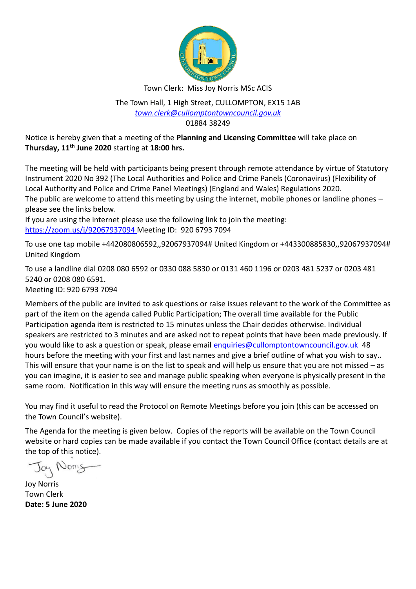

Town Clerk: Miss Joy Norris MSc ACIS

The Town Hall, 1 High Street, CULLOMPTON, EX15 1AB *[town.clerk@cullomptontowncouncil.gov.uk](mailto:town.clerk@cullomptontowncouncil.gov.uk)* 01884 38249

Notice is hereby given that a meeting of the **Planning and Licensing Committee** will take place on **Thursday, 11th June 2020** starting at **18:00 hrs.**

The meeting will be held with participants being present through remote attendance by virtue of Statutory Instrument 2020 No 392 (The Local Authorities and Police and Crime Panels (Coronavirus) (Flexibility of Local Authority and Police and Crime Panel Meetings) (England and Wales) Regulations 2020. The public are welcome to attend this meeting by using the internet, mobile phones or landline phones – please see the links below.

If you are using the internet please use the following link to join the meeting: <https://zoom.us/j/92067937094> Meeting ID: 920 6793 7094

To use one tap mobile +442080806592,,92067937094# United Kingdom or +443300885830,,92067937094# United Kingdom

To use a landline dial 0208 080 6592 or 0330 088 5830 or 0131 460 1196 or 0203 481 5237 or 0203 481 5240 or 0208 080 6591. Meeting ID: 920 6793 7094

Members of the public are invited to ask questions or raise issues relevant to the work of the Committee as part of the item on the agenda called Public Participation; The overall time available for the Public Participation agenda item is restricted to 15 minutes unless the Chair decides otherwise. Individual speakers are restricted to 3 minutes and are asked not to repeat points that have been made previously. If you would like to ask a question or speak, please email [enquiries@cullomptontowncouncil.gov.uk](mailto:enquiries@cullomptontowncouncil.gov.uk) 48 hours before the meeting with your first and last names and give a brief outline of what you wish to say.. This will ensure that your name is on the list to speak and will help us ensure that you are not missed – as you can imagine, it is easier to see and manage public speaking when everyone is physically present in the same room. Notification in this way will ensure the meeting runs as smoothly as possible.

You may find it useful to read the Protocol on Remote Meetings before you join (this can be accessed on the Town Council's website).

The Agenda for the meeting is given below. Copies of the reports will be available on the Town Council website or hard copies can be made available if you contact the Town Council Office (contact details are at the top of this notice).

Jay Norry

Joy Norris Town Clerk **Date: 5 June 2020**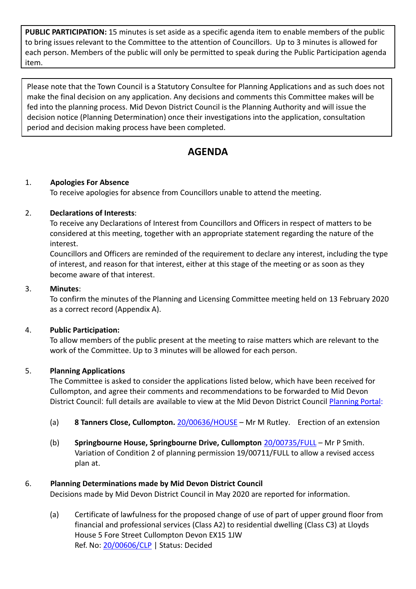**PUBLIC PARTICIPATION:** 15 minutes is set aside as a specific agenda item to enable members of the public to bring issues relevant to the Committee to the attention of Councillors. Up to 3 minutes is allowed for each person. Members of the public will only be permitted to speak during the Public Participation agenda item.

Please note that the Town Council is a Statutory Consultee for Planning Applications and as such does not make the final decision on any application. Any decisions and comments this Committee makes will be fed into the planning process. Mid Devon District Council is the Planning Authority and will issue the decision notice (Planning Determination) once their investigations into the application, consultation period and decision making process have been completed.

# **AGENDA**

# 1. **Apologies For Absence**

To receive apologies for absence from Councillors unable to attend the meeting.

# 2. **Declarations of Interests**:

To receive any Declarations of Interest from Councillors and Officers in respect of matters to be considered at this meeting, together with an appropriate statement regarding the nature of the interest.

Councillors and Officers are reminded of the requirement to declare any interest, including the type of interest, and reason for that interest, either at this stage of the meeting or as soon as they become aware of that interest.

#### 3. **Minutes**:

To confirm the minutes of the Planning and Licensing Committee meeting held on 13 February 2020 as a correct record (Appendix A).

#### 4. **Public Participation:**

To allow members of the public present at the meeting to raise matters which are relevant to the work of the Committee. Up to 3 minutes will be allowed for each person.

#### 5. **Planning Applications**

The Committee is asked to consider the applications listed below, which have been received for Cullompton, and agree their comments and recommendations to be forwarded to Mid Devon District Council: full details are available to view at the Mid Devon District Council [Planning Portal:](https://planning.middevon.gov.uk/online-applications/search.do?action=simple&searchType=BuildingControl)

- (a) **8 Tanners Close, Cullompton.** [20/00636/HOUSE](https://planning.middevon.gov.uk/online-applications/applicationDetails.do?activeTab=documents&keyVal=Q9HOS1KS04G00) Mr M Rutley. Erection of an extension
- (b) **Springbourne House, Springbourne Drive, Cullompton** [20/00735/FULL](https://planning.middevon.gov.uk/online-applications/applicationDetails.do?activeTab=documents&keyVal=QAKY6DKS05K00) Mr P Smith. Variation of Condition 2 of planning permission 19/00711/FULL to allow a revised access plan at.

# 6. **Planning Determinations made by Mid Devon District Council**

Decisions made by Mid Devon District Council in May 2020 are reported for information.

(a) Certificate of lawfulness for the proposed change of use of part of upper ground floor from financial and professional services (Class A2) to residential dwelling (Class C3) at Lloyds House 5 Fore Street Cullompton Devon EX15 1JW Ref. No[: 20/00606/CLP](https://planning.middevon.gov.uk/online-applications/applicationDetails.do?activeTab=documents&keyVal=Q94UJUKS07T00) | Status: Decided